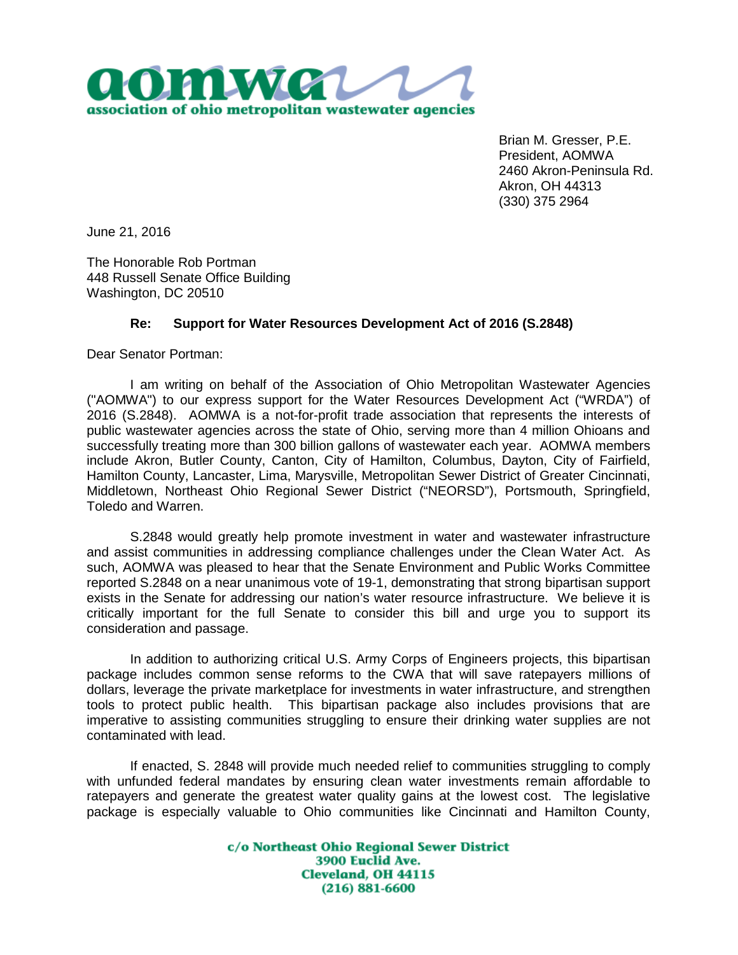

Brian M. Gresser, P.E. President, AOMWA 2460 Akron-Peninsula Rd. Akron, OH 44313 (330) 375 2964

June 21, 2016

The Honorable Rob Portman 448 Russell Senate Office Building Washington, DC 20510

## **Re: Support for Water Resources Development Act of 2016 (S.2848)**

Dear Senator Portman:

I am writing on behalf of the Association of Ohio Metropolitan Wastewater Agencies ("AOMWA") to our express support for the Water Resources Development Act ("WRDA") of 2016 (S.2848). AOMWA is a not-for-profit trade association that represents the interests of public wastewater agencies across the state of Ohio, serving more than 4 million Ohioans and successfully treating more than 300 billion gallons of wastewater each year. AOMWA members include Akron, Butler County, Canton, City of Hamilton, Columbus, Dayton, City of Fairfield, Hamilton County, Lancaster, Lima, Marysville, Metropolitan Sewer District of Greater Cincinnati, Middletown, Northeast Ohio Regional Sewer District ("NEORSD"), Portsmouth, Springfield, Toledo and Warren.

S.2848 would greatly help promote investment in water and wastewater infrastructure and assist communities in addressing compliance challenges under the Clean Water Act. As such, AOMWA was pleased to hear that the Senate Environment and Public Works Committee reported S.2848 on a near unanimous vote of 19-1, demonstrating that strong bipartisan support exists in the Senate for addressing our nation's water resource infrastructure. We believe it is critically important for the full Senate to consider this bill and urge you to support its consideration and passage.

In addition to authorizing critical U.S. Army Corps of Engineers projects, this bipartisan package includes common sense reforms to the CWA that will save ratepayers millions of dollars, leverage the private marketplace for investments in water infrastructure, and strengthen tools to protect public health. This bipartisan package also includes provisions that are imperative to assisting communities struggling to ensure their drinking water supplies are not contaminated with lead.

If enacted, S. 2848 will provide much needed relief to communities struggling to comply with unfunded federal mandates by ensuring clean water investments remain affordable to ratepayers and generate the greatest water quality gains at the lowest cost. The legislative package is especially valuable to Ohio communities like Cincinnati and Hamilton County,

> c/o Northeast Ohio Regional Sewer District 3900 Euclid Ave. **Cleveland, OH 44115**  $(216) 881 - 6600$